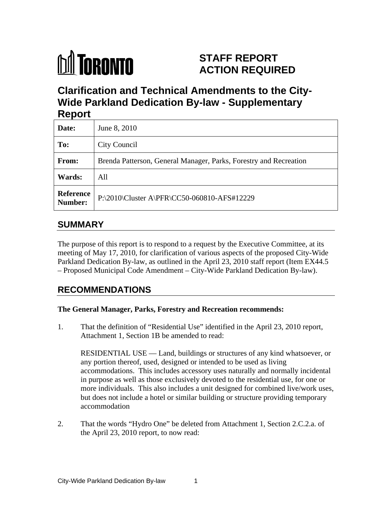

# **STAFF REPORT ACTION REQUIRED**

**Clarification and Technical Amendments to the City- Wide Parkland Dedication By-law - Supplementary Report**

| $\cdots$ $\cdots$ |                                                                   |  |
|-------------------|-------------------------------------------------------------------|--|
| Date:             | June 8, 2010                                                      |  |
| To:               | City Council                                                      |  |
| From:             | Brenda Patterson, General Manager, Parks, Forestry and Recreation |  |
| <b>Wards:</b>     | All                                                               |  |
|                   | Reference<br>Number: P:\2010\Cluster A\PFR\CC50-060810-AFS#12229  |  |

## **SUMMARY**

The purpose of this report is to respond to a request by the Executive Committee, at its meeting of May 17, 2010, for clarification of various aspects of the proposed City-Wide Parkland Dedication By-law, as outlined in the April 23, 2010 staff report (Item EX44.5 – Proposed Municipal Code Amendment – City-Wide Parkland Dedication By-law).

## **RECOMMENDATIONS**

#### **The General Manager, Parks, Forestry and Recreation recommends:**

1. That the definition of "Residential Use" identified in the April 23, 2010 report, Attachment 1, Section 1B be amended to read:

RESIDENTIAL USE — Land, buildings or structures of any kind whatsoever, or any portion thereof, used, designed or intended to be used as living accommodations. This includes accessory uses naturally and normally incidental in purpose as well as those exclusively devoted to the residential use, for one or more individuals. This also includes a unit designed for combined live/work uses, but does not include a hotel or similar building or structure providing temporary accommodation

2. That the words "Hydro One" be deleted from Attachment 1, Section 2.C.2.a. of the April 23, 2010 report, to now read: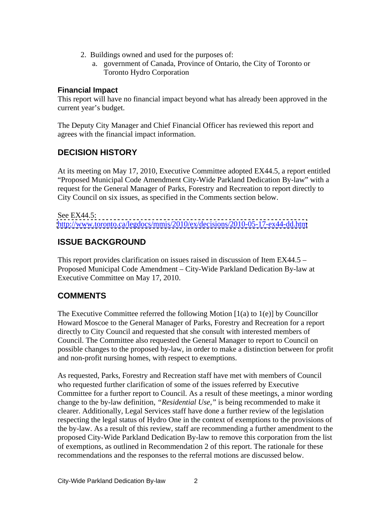- 2. Buildings owned and used for the purposes of:
	- a. government of Canada, Province of Ontario, the City of Toronto or Toronto Hydro Corporation

#### **Financial Impact**

This report will have no financial impact beyond what has already been approved in the current year's budget.

The Deputy City Manager and Chief Financial Officer has reviewed this report and agrees with the financial impact information.

## **DECISION HISTORY**

At its meeting on May 17, 2010, Executive Committee adopted EX44.5, a report entitled "Proposed Municipal Code Amendment City-Wide Parkland Dedication By-law" with a request for the General Manager of Parks, Forestry and Recreation to report directly to City Council on six issues, as specified in the Comments section below.

See EX44.5: <http://www.toronto.ca/legdocs/mmis/2010/ex/decisions/2010-05-17-ex44-dd.htm>

## **ISSUE BACKGROUND**

This report provides clarification on issues raised in discussion of Item EX44.5 – Proposed Municipal Code Amendment – City-Wide Parkland Dedication By-law at Executive Committee on May 17, 2010.

## **COMMENTS**

The Executive Committee referred the following Motion  $(1(a)$  to  $1(e)$  by Councillor Howard Moscoe to the General Manager of Parks, Forestry and Recreation for a report directly to City Council and requested that she consult with interested members of Council. The Committee also requested the General Manager to report to Council on possible changes to the proposed by-law, in order to make a distinction between for profit and non-profit nursing homes, with respect to exemptions.

As requested, Parks, Forestry and Recreation staff have met with members of Council who requested further clarification of some of the issues referred by Executive Committee for a further report to Council. As a result of these meetings, a minor wording change to the by-law definition, *"Residential Use,"* is being recommended to make it clearer. Additionally, Legal Services staff have done a further review of the legislation respecting the legal status of Hydro One in the context of exemptions to the provisions of the by-law. As a result of this review, staff are recommending a further amendment to the proposed City-Wide Parkland Dedication By-law to remove this corporation from the list of exemptions, as outlined in Recommendation 2 of this report. The rationale for these recommendations and the responses to the referral motions are discussed below.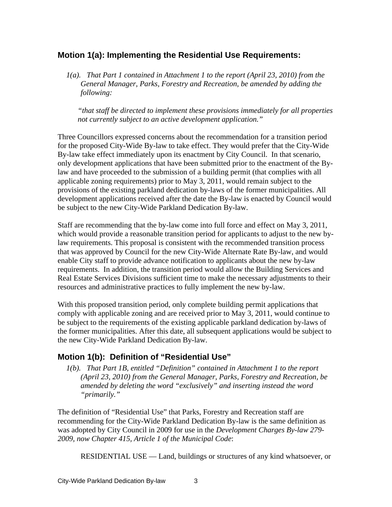### **Motion 1(a): Implementing the Residential Use Requirements:**

*1(a). That Part 1 contained in Attachment 1 to the report (April 23, 2010) from the General Manager, Parks, Forestry and Recreation, be amended by adding the following:*

*"that staff be directed to implement these provisions immediately for all properties not currently subject to an active development application."*

Three Councillors expressed concerns about the recommendation for a transition period for the proposed City-Wide By-law to take effect. They would prefer that the City-Wide By-law take effect immediately upon its enactment by City Council. In that scenario, only development applications that have been submitted prior to the enactment of the Bylaw and have proceeded to the submission of a building permit (that complies with all applicable zoning requirements) prior to May 3, 2011, would remain subject to the provisions of the existing parkland dedication by-laws of the former municipalities. All development applications received after the date the By-law is enacted by Council would be subject to the new City-Wide Parkland Dedication By-law.

Staff are recommending that the by-law come into full force and effect on May 3, 2011, which would provide a reasonable transition period for applicants to adjust to the new bylaw requirements. This proposal is consistent with the recommended transition process that was approved by Council for the new City-Wide Alternate Rate By-law, and would enable City staff to provide advance notification to applicants about the new by-law requirements. In addition, the transition period would allow the Building Services and Real Estate Services Divisions sufficient time to make the necessary adjustments to their resources and administrative practices to fully implement the new by-law.

With this proposed transition period, only complete building permit applications that comply with applicable zoning and are received prior to May 3, 2011, would continue to be subject to the requirements of the existing applicable parkland dedication by-laws of the former municipalities. After this date, all subsequent applications would be subject to the new City-Wide Parkland Dedication By-law.

#### **Motion 1(b): Definition of "Residential Use"**

*1(b). That Part 1B, entitled "Definition" contained in Attachment 1 to the report (April 23, 2010) from the General Manager, Parks, Forestry and Recreation, be amended by deleting the word "exclusively" and inserting instead the word "primarily."*

The definition of "Residential Use" that Parks, Forestry and Recreation staff are recommending for the City-Wide Parkland Dedication By-law is the same definition as was adopted by City Council in 2009 for use in the *Development Charges By-law 279- 2009, now Chapter 415, Article 1 of the Municipal Code*:

RESIDENTIAL USE — Land, buildings or structures of any kind whatsoever, or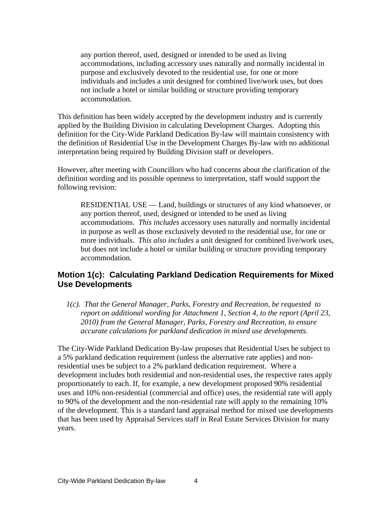any portion thereof, used, designed or intended to be used as living accommodations, including accessory uses naturally and normally incidental in purpose and exclusively devoted to the residential use, for one or more individuals and includes a unit designed for combined live/work uses, but does not include a hotel or similar building or structure providing temporary accommodation.

This definition has been widely accepted by the development industry and is currently applied by the Building Division in calculating Development Charges. Adopting this definition for the City-Wide Parkland Dedication By-law will maintain consistency with the definition of Residential Use in the Development Charges By-law with no additional interpretation being required by Building Division staff or developers.

However, after meeting with Councillors who had concerns about the clarification of the definition wording and its possible openness to interpretation, staff would support the following revision:

RESIDENTIAL USE — Land, buildings or structures of any kind whatsoever, or any portion thereof, used, designed or intended to be used as living accommodations. *This includes* accessory uses naturally and normally incidental in purpose as well as those exclusively devoted to the residential use, for one or more individuals. *This also includes* a unit designed for combined live/work uses, but does not include a hotel or similar building or structure providing temporary accommodation.

#### **Motion 1(c): Calculating Parkland Dedication Requirements for Mixed Use Developments**

*1(c). That the General Manager, Parks, Forestry and Recreation, be requested to report on additional wording for Attachment 1, Section 4, to the report (April 23, 2010) from the General Manager, Parks, Forestry and Recreation, to ensure accurate calculations for parkland dedication in mixed use developments.*

The City-Wide Parkland Dedication By-law proposes that Residential Uses be subject to a 5% parkland dedication requirement (unless the alternative rate applies) and nonresidential uses be subject to a 2% parkland dedication requirement. Where a development includes both residential and non-residential uses, the respective rates apply proportionately to each. If, for example, a new development proposed 90% residential uses and 10% non-residential (commercial and office) uses, the residential rate will apply to 90% of the development and the non-residential rate will apply to the remaining 10% of the development. This is a standard land appraisal method for mixed use developments that has been used by Appraisal Services staff in Real Estate Services Division for many years.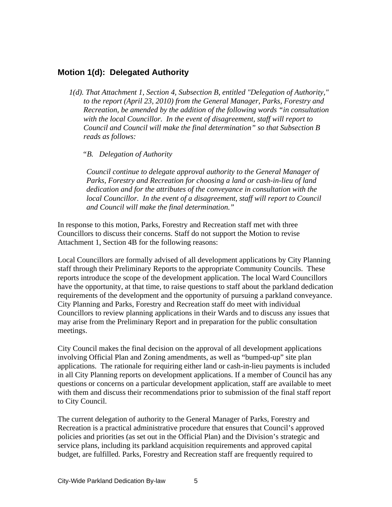#### **Motion 1(d): Delegated Authority**

*1(d). That Attachment 1, Section 4, Subsection B, entitled "Delegation of Authority," to the report (April 23, 2010) from the General Manager, Parks, Forestry and Recreation, be amended by the addition of the following words "in consultation with the local Councillor. In the event of disagreement, staff will report to Council and Council will make the final determination" so that Subsection B reads as follows:*

#### *"B. Delegation of Authority*

*Council continue to delegate approval authority to the General Manager of Parks, Forestry and Recreation for choosing a land or cash-in-lieu of land dedication and for the attributes of the conveyance in consultation with the local Councillor. In the event of a disagreement, staff will report to Council and Council will make the final determination."*

In response to this motion, Parks, Forestry and Recreation staff met with three Councillors to discuss their concerns. Staff do not support the Motion to revise Attachment 1, Section 4B for the following reasons:

Local Councillors are formally advised of all development applications by City Planning staff through their Preliminary Reports to the appropriate Community Councils. These reports introduce the scope of the development application. The local Ward Councillors have the opportunity, at that time, to raise questions to staff about the parkland dedication requirements of the development and the opportunity of pursuing a parkland conveyance. City Planning and Parks, Forestry and Recreation staff do meet with individual Councillors to review planning applications in their Wards and to discuss any issues that may arise from the Preliminary Report and in preparation for the public consultation meetings.

City Council makes the final decision on the approval of all development applications involving Official Plan and Zoning amendments, as well as "bumped-up" site plan applications. The rationale for requiring either land or cash-in-lieu payments is included in all City Planning reports on development applications. If a member of Council has any questions or concerns on a particular development application, staff are available to meet with them and discuss their recommendations prior to submission of the final staff report to City Council.

The current delegation of authority to the General Manager of Parks, Forestry and Recreation is a practical administrative procedure that ensures that Council's approved policies and priorities (as set out in the Official Plan) and the Division's strategic and service plans, including its parkland acquisition requirements and approved capital budget, are fulfilled. Parks, Forestry and Recreation staff are frequently required to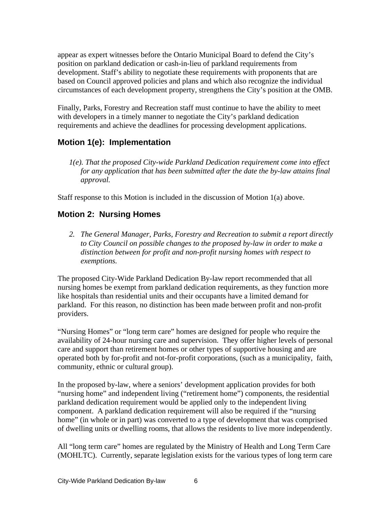appear as expert witnesses before the Ontario Municipal Board to defend the City's position on parkland dedication or cash-in-lieu of parkland requirements from development. Staff's ability to negotiate these requirements with proponents that are based on Council approved policies and plans and which also recognize the individual circumstances of each development property, strengthens the City's position at the OMB.

Finally, Parks, Forestry and Recreation staff must continue to have the ability to meet with developers in a timely manner to negotiate the City's parkland dedication requirements and achieve the deadlines for processing development applications.

### **Motion 1(e): Implementation**

*1(e). That the proposed City-wide Parkland Dedication requirement come into effect for any application that has been submitted after the date the by-law attains final approval.*

Staff response to this Motion is included in the discussion of Motion 1(a) above.

#### **Motion 2: Nursing Homes**

*2. The General Manager, Parks, Forestry and Recreation to submit a report directly to City Council on possible changes to the proposed by-law in order to make a distinction between for profit and non-profit nursing homes with respect to exemptions.*

The proposed City-Wide Parkland Dedication By-law report recommended that all nursing homes be exempt from parkland dedication requirements, as they function more like hospitals than residential units and their occupants have a limited demand for parkland. For this reason, no distinction has been made between profit and non-profit providers.

"Nursing Homes" or "long term care" homes are designed for people who require the availability of 24-hour nursing care and supervision. They offer higher levels of personal care and support than retirement homes or other types of supportive housing and are operated both by for-profit and not-for-profit corporations, (such as a municipality, faith, community, ethnic or cultural group).

In the proposed by-law, where a seniors' development application provides for both "nursing home" and independent living ("retirement home") components, the residential parkland dedication requirement would be applied only to the independent living component. A parkland dedication requirement will also be required if the "nursing home" (in whole or in part) was converted to a type of development that was comprised of dwelling units or dwelling rooms, that allows the residents to live more independently.

All "long term care" homes are regulated by the Ministry of Health and Long Term Care (MOHLTC). Currently, separate legislation exists for the various types of long term care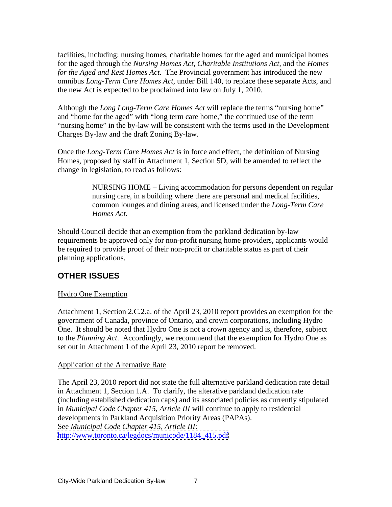facilities, including: nursing homes, charitable homes for the aged and municipal homes for the aged through the *Nursing Homes Act*, *Charitable Institutions Act,* and the *Homes for the Aged and Rest Homes Act*. The Provincial government has introduced the new omnibus *Long-Term Care Homes Act,* under Bill 140, to replace these separate Acts, and the new Act is expected to be proclaimed into law on July 1, 2010.

Although the *Long Long-Term Care Homes Act* will replace the terms "nursing home" and "home for the aged" with "long term care home," the continued use of the term "nursing home" in the by-law will be consistent with the terms used in the Development Charges By-law and the draft Zoning By-law.

Once the *Long-Term Care Homes Act* is in force and effect, the definition of Nursing Homes, proposed by staff in Attachment 1, Section 5D, will be amended to reflect the change in legislation, to read as follows:

> NURSING HOME – Living accommodation for persons dependent on regular nursing care, in a building where there are personal and medical facilities, common lounges and dining areas, and licensed under the *Long-Term Care Homes Act.*

Should Council decide that an exemption from the parkland dedication by-law requirements be approved only for non-profit nursing home providers, applicants would be required to provide proof of their non-profit or charitable status as part of their planning applications.

### **OTHER ISSUES**

#### **Hydro One Exemption**

Attachment 1, Section 2.C.2.a. of the April 23, 2010 report provides an exemption for the government of Canada, province of Ontario, and crown corporations, including Hydro One. It should be noted that Hydro One is not a crown agency and is, therefore, subject to the *Planning Act*. Accordingly, we recommend that the exemption for Hydro One as set out in Attachment 1 of the April 23, 2010 report be removed.

#### Application of the Alternative Rate

The April 23, 2010 report did not state the full alternative parkland dedication rate detail in Attachment 1, Section 1.A. To clarify, the alterative parkland dedication rate (including established dedication caps) and its associated policies as currently stipulated in *Municipal Code Chapter 415, Article III* will continue to apply to residential developments in Parkland Acquisition Priority Areas (PAPAs). See *Municipal Code Chapter 415, Article III*: [http://www.toronto.ca/legdocs/municode/1184\\_415.pdf](http://www.toronto.ca/legdocs/municode/1184_415.pdf)